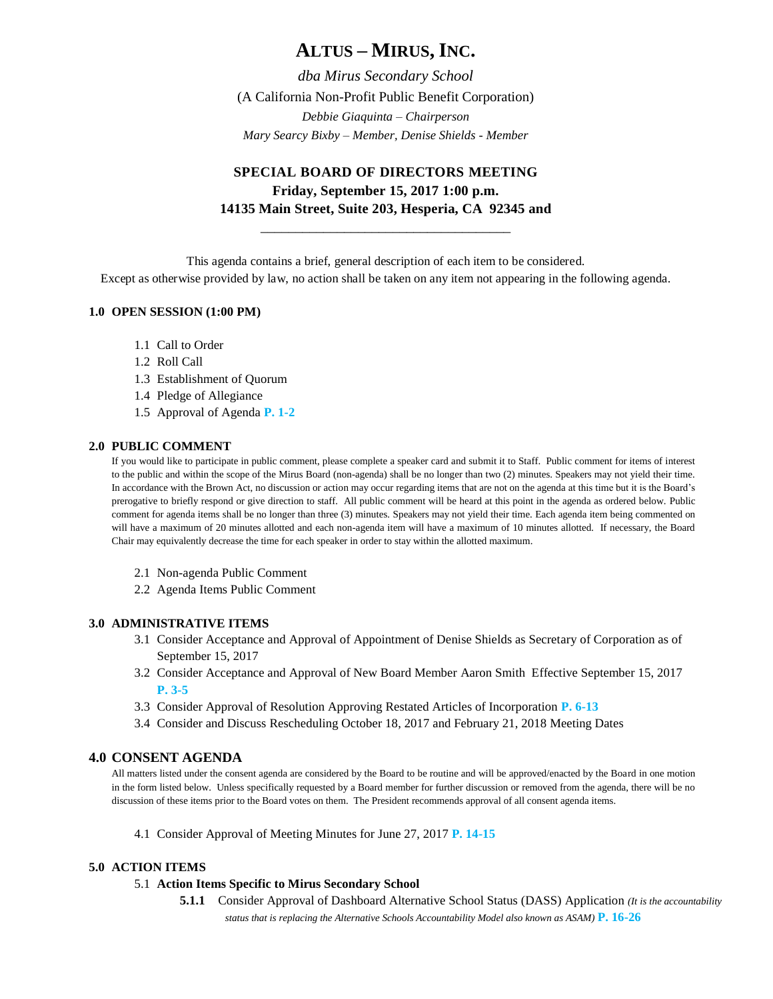# **ALTUS – MIRUS, INC.**

*dba Mirus Secondary School* (A California Non-Profit Public Benefit Corporation) *Debbie Giaquinta – Chairperson Mary Searcy Bixby – Member, Denise Shields - Member*

# **SPECIAL BOARD OF DIRECTORS MEETING Friday, September 15, 2017 1:00 p.m. 14135 Main Street, Suite 203, Hesperia, CA 92345 and**

\_\_\_\_\_\_\_\_\_\_\_\_\_\_\_\_\_\_\_\_\_\_\_\_\_\_\_\_\_\_\_\_\_\_\_\_

This agenda contains a brief, general description of each item to be considered.

Except as otherwise provided by law, no action shall be taken on any item not appearing in the following agenda.

# **1.0 OPEN SESSION (1:00 PM)**

- 1.1 Call to Order
- 1.2 Roll Call
- 1.3 Establishment of Quorum
- 1.4 Pledge of Allegiance
- 1.5 Approval of Agenda **P. 1-2**

#### **2.0 PUBLIC COMMENT**

If you would like to participate in public comment, please complete a speaker card and submit it to Staff. Public comment for items of interest to the public and within the scope of the Mirus Board (non-agenda) shall be no longer than two (2) minutes. Speakers may not yield their time. In accordance with the Brown Act, no discussion or action may occur regarding items that are not on the agenda at this time but it is the Board's prerogative to briefly respond or give direction to staff. All public comment will be heard at this point in the agenda as ordered below. Public comment for agenda items shall be no longer than three (3) minutes. Speakers may not yield their time. Each agenda item being commented on will have a maximum of 20 minutes allotted and each non-agenda item will have a maximum of 10 minutes allotted. If necessary, the Board Chair may equivalently decrease the time for each speaker in order to stay within the allotted maximum.

- 2.1 Non-agenda Public Comment
- 2.2 Agenda Items Public Comment

#### **3.0 ADMINISTRATIVE ITEMS**

- 3.1 Consider Acceptance and Approval of Appointment of Denise Shields as Secretary of Corporation as of September 15, 2017
- 3.2 Consider Acceptance and Approval of New Board Member Aaron Smith Effective September 15, 2017 **P. 3-5**
- 3.3 Consider Approval of Resolution Approving Restated Articles of Incorporation **P. 6-13**
- 3.4 Consider and Discuss Rescheduling October 18, 2017 and February 21, 2018 Meeting Dates

## **4.0 CONSENT AGENDA**

All matters listed under the consent agenda are considered by the Board to be routine and will be approved/enacted by the Board in one motion in the form listed below. Unless specifically requested by a Board member for further discussion or removed from the agenda, there will be no discussion of these items prior to the Board votes on them. The President recommends approval of all consent agenda items.

4.1 Consider Approval of Meeting Minutes for June 27, 2017 **P. 14-15**

#### **5.0 ACTION ITEMS**

#### 5.1 **Action Items Specific to Mirus Secondary School**

**5.1.1** Consider Approval of Dashboard Alternative School Status (DASS) Application *(It is the accountability status that is replacing the Alternative Schools Accountability Model also known as ASAM)* **P. 16-26**